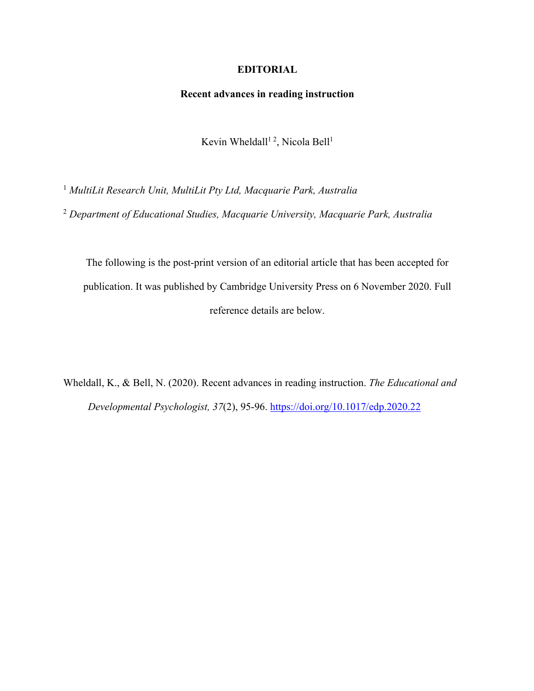## **EDITORIAL**

## **Recent advances in reading instruction**

Kevin Wheldall<sup>12</sup>, Nicola Bell<sup>1</sup>

<sup>1</sup> *MultiLit Research Unit, MultiLit Pty Ltd, Macquarie Park, Australia*

<sup>2</sup> *Department of Educational Studies, Macquarie University, Macquarie Park, Australia*

The following is the post-print version of an editorial article that has been accepted for publication. It was published by Cambridge University Press on 6 November 2020. Full reference details are below.

Wheldall, K., & Bell, N. (2020). Recent advances in reading instruction. *The Educational and Developmental Psychologist, 37*(2), 95-96. https://doi.org/10.1017/edp.2020.22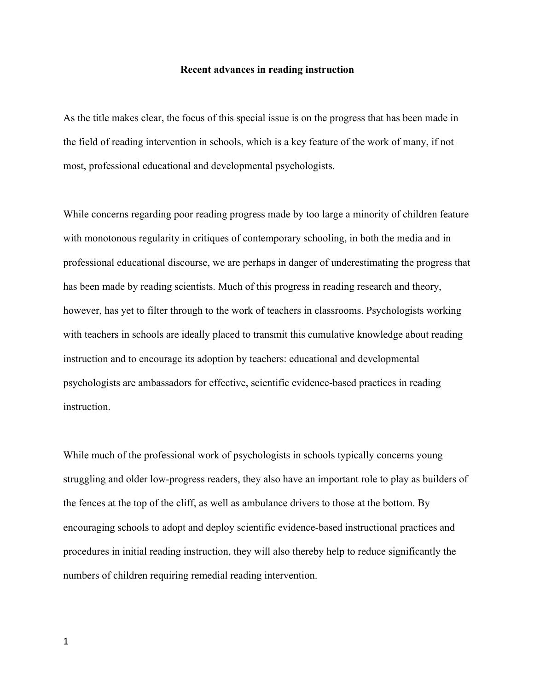## **Recent advances in reading instruction**

As the title makes clear, the focus of this special issue is on the progress that has been made in the field of reading intervention in schools, which is a key feature of the work of many, if not most, professional educational and developmental psychologists.

While concerns regarding poor reading progress made by too large a minority of children feature with monotonous regularity in critiques of contemporary schooling, in both the media and in professional educational discourse, we are perhaps in danger of underestimating the progress that has been made by reading scientists. Much of this progress in reading research and theory, however, has yet to filter through to the work of teachers in classrooms. Psychologists working with teachers in schools are ideally placed to transmit this cumulative knowledge about reading instruction and to encourage its adoption by teachers: educational and developmental psychologists are ambassadors for effective, scientific evidence-based practices in reading instruction.

While much of the professional work of psychologists in schools typically concerns young struggling and older low-progress readers, they also have an important role to play as builders of the fences at the top of the cliff, as well as ambulance drivers to those at the bottom. By encouraging schools to adopt and deploy scientific evidence-based instructional practices and procedures in initial reading instruction, they will also thereby help to reduce significantly the numbers of children requiring remedial reading intervention.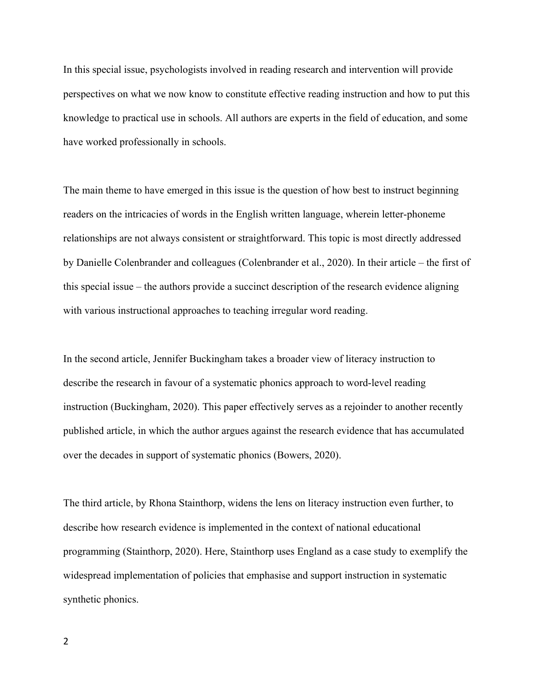In this special issue, psychologists involved in reading research and intervention will provide perspectives on what we now know to constitute effective reading instruction and how to put this knowledge to practical use in schools. All authors are experts in the field of education, and some have worked professionally in schools.

The main theme to have emerged in this issue is the question of how best to instruct beginning readers on the intricacies of words in the English written language, wherein letter-phoneme relationships are not always consistent or straightforward. This topic is most directly addressed by Danielle Colenbrander and colleagues (Colenbrander et al., 2020). In their article – the first of this special issue – the authors provide a succinct description of the research evidence aligning with various instructional approaches to teaching irregular word reading.

In the second article, Jennifer Buckingham takes a broader view of literacy instruction to describe the research in favour of a systematic phonics approach to word-level reading instruction (Buckingham, 2020). This paper effectively serves as a rejoinder to another recently published article, in which the author argues against the research evidence that has accumulated over the decades in support of systematic phonics (Bowers, 2020).

The third article, by Rhona Stainthorp, widens the lens on literacy instruction even further, to describe how research evidence is implemented in the context of national educational programming (Stainthorp, 2020). Here, Stainthorp uses England as a case study to exemplify the widespread implementation of policies that emphasise and support instruction in systematic synthetic phonics.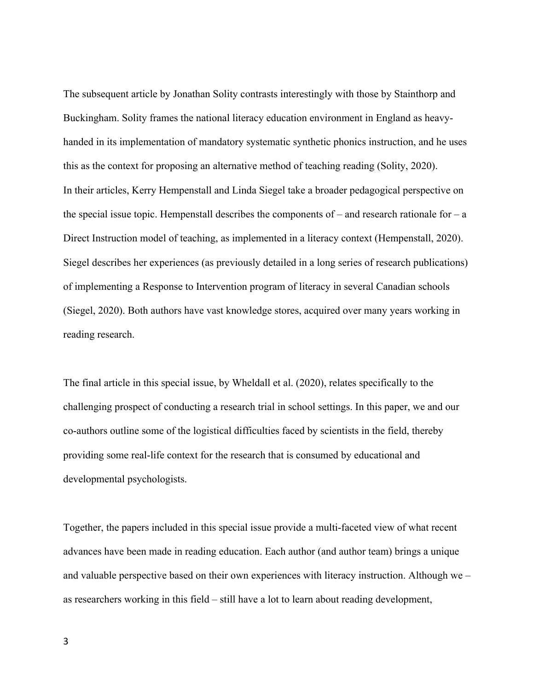The subsequent article by Jonathan Solity contrasts interestingly with those by Stainthorp and Buckingham. Solity frames the national literacy education environment in England as heavyhanded in its implementation of mandatory systematic synthetic phonics instruction, and he uses this as the context for proposing an alternative method of teaching reading (Solity, 2020). In their articles, Kerry Hempenstall and Linda Siegel take a broader pedagogical perspective on the special issue topic. Hempenstall describes the components of  $-$  and research rationale for  $-a$ Direct Instruction model of teaching, as implemented in a literacy context (Hempenstall, 2020). Siegel describes her experiences (as previously detailed in a long series of research publications) of implementing a Response to Intervention program of literacy in several Canadian schools (Siegel, 2020). Both authors have vast knowledge stores, acquired over many years working in reading research.

The final article in this special issue, by Wheldall et al. (2020), relates specifically to the challenging prospect of conducting a research trial in school settings. In this paper, we and our co-authors outline some of the logistical difficulties faced by scientists in the field, thereby providing some real-life context for the research that is consumed by educational and developmental psychologists.

Together, the papers included in this special issue provide a multi-faceted view of what recent advances have been made in reading education. Each author (and author team) brings a unique and valuable perspective based on their own experiences with literacy instruction. Although we – as researchers working in this field – still have a lot to learn about reading development,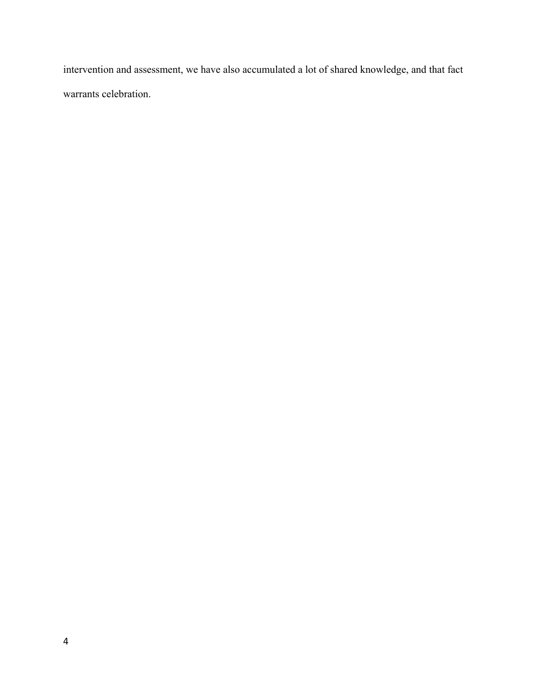intervention and assessment, we have also accumulated a lot of shared knowledge, and that fact warrants celebration.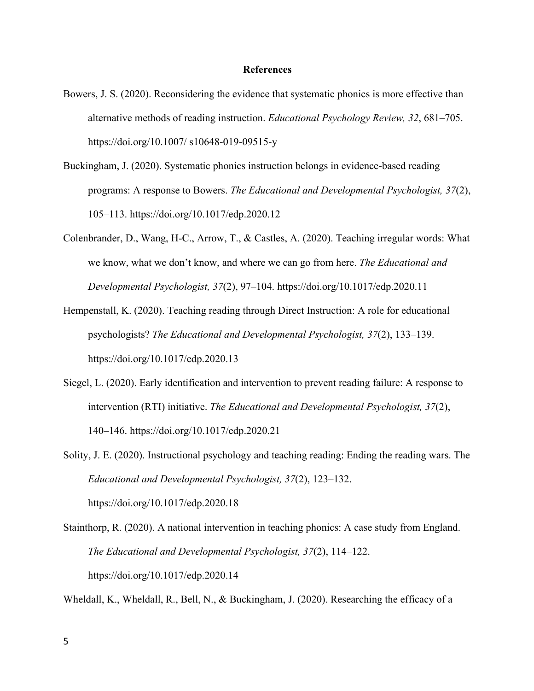## **References**

- Bowers, J. S. (2020). Reconsidering the evidence that systematic phonics is more effective than alternative methods of reading instruction. *Educational Psychology Review, 32*, 681–705. https://doi.org/10.1007/ s10648-019-09515-y
- Buckingham, J. (2020). Systematic phonics instruction belongs in evidence-based reading programs: A response to Bowers. *The Educational and Developmental Psychologist, 37*(2), 105–113. https://doi.org/10.1017/edp.2020.12
- Colenbrander, D., Wang, H-C., Arrow, T., & Castles, A. (2020). Teaching irregular words: What we know, what we don't know, and where we can go from here. *The Educational and Developmental Psychologist, 37*(2), 97–104. https://doi.org/10.1017/edp.2020.11
- Hempenstall, K. (2020). Teaching reading through Direct Instruction: A role for educational psychologists? *The Educational and Developmental Psychologist, 37*(2), 133–139. https://doi.org/10.1017/edp.2020.13
- Siegel, L. (2020). Early identification and intervention to prevent reading failure: A response to intervention (RTI) initiative. *The Educational and Developmental Psychologist, 37*(2), 140–146. https://doi.org/10.1017/edp.2020.21

Solity, J. E. (2020). Instructional psychology and teaching reading: Ending the reading wars. The *Educational and Developmental Psychologist, 37*(2), 123–132. https://doi.org/10.1017/edp.2020.18

Stainthorp, R. (2020). A national intervention in teaching phonics: A case study from England. *The Educational and Developmental Psychologist, 37*(2), 114–122. https://doi.org/10.1017/edp.2020.14

Wheldall, K., Wheldall, R., Bell, N., & Buckingham, J. (2020). Researching the efficacy of a